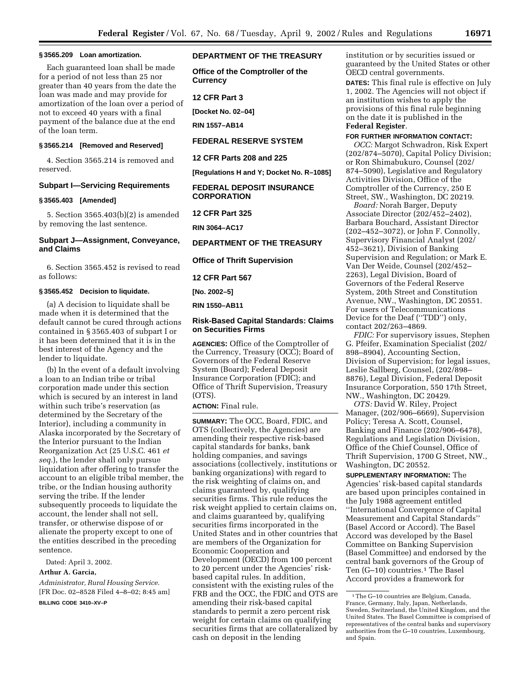#### **§ 3565.209 Loan amortization.**

Each guaranteed loan shall be made for a period of not less than 25 nor greater than 40 years from the date the loan was made and may provide for amortization of the loan over a period of not to exceed 40 years with a final payment of the balance due at the end of the loan term.

#### **§ 3565.214 [Removed and Reserved]**

4. Section 3565.214 is removed and reserved.

# **Subpart I—Servicing Requirements**

#### **§ 3565.403 [Amended]**

5. Section 3565.403(b)(2) is amended by removing the last sentence.

## **Subpart J—Assignment, Conveyance, and Claims**

6. Section 3565.452 is revised to read as follows:

### **§ 3565.452 Decision to liquidate.**

(a) A decision to liquidate shall be made when it is determined that the default cannot be cured through actions contained in § 3565.403 of subpart I or it has been determined that it is in the best interest of the Agency and the lender to liquidate.

(b) In the event of a default involving a loan to an Indian tribe or tribal corporation made under this section which is secured by an interest in land within such tribe's reservation (as determined by the Secretary of the Interior), including a community in Alaska incorporated by the Secretary of the Interior pursuant to the Indian Reorganization Act (25 U.S.C. 461 *et seq.*), the lender shall only pursue liquidation after offering to transfer the account to an eligible tribal member, the tribe, or the Indian housing authority serving the tribe. If the lender subsequently proceeds to liquidate the account, the lender shall not sell, transfer, or otherwise dispose of or alienate the property except to one of the entities described in the preceding sentence.

Dated: April 3, 2002.

#### **Arthur A. Garcia,**

*Administrator, Rural Housing Service.* [FR Doc. 02–8528 Filed 4–8–02; 8:45 am] **BILLING CODE 3410–XV–P**

## **DEPARTMENT OF THE TREASURY**

**Office of the Comptroller of the Currency**

**12 CFR Part 3**

**[Docket No. 02–04]**

**RIN 1557–AB14**

#### **FEDERAL RESERVE SYSTEM**

**12 CFR Parts 208 and 225**

**[Regulations H and Y; Docket No. R–1085] FEDERAL DEPOSIT INSURANCE**

**CORPORATION**

**12 CFR Part 325**

**RIN 3064–AC17**

## **DEPARTMENT OF THE TREASURY**

**Office of Thrift Supervision**

**12 CFR Part 567**

**[No. 2002–5]**

**RIN 1550–AB11**

## **Risk-Based Capital Standards: Claims on Securities Firms**

**AGENCIES:** Office of the Comptroller of the Currency, Treasury (OCC); Board of Governors of the Federal Reserve System (Board); Federal Deposit Insurance Corporation (FDIC); and Office of Thrift Supervision, Treasury (OTS).

## **ACTION:** Final rule.

**SUMMARY:** The OCC, Board, FDIC, and OTS (collectively, the Agencies) are amending their respective risk-based capital standards for banks, bank holding companies, and savings associations (collectively, institutions or banking organizations) with regard to the risk weighting of claims on, and claims guaranteed by, qualifying securities firms. This rule reduces the risk weight applied to certain claims on, and claims guaranteed by, qualifying securities firms incorporated in the United States and in other countries that are members of the Organization for Economic Cooperation and Development (OECD) from 100 percent to 20 percent under the Agencies' riskbased capital rules. In addition, consistent with the existing rules of the FRB and the OCC, the FDIC and OTS are amending their risk-based capital standards to permit a zero percent risk weight for certain claims on qualifying securities firms that are collateralized by cash on deposit in the lending

institution or by securities issued or guaranteed by the United States or other OECD central governments.

**DATES:** This final rule is effective on July 1, 2002. The Agencies will not object if an institution wishes to apply the provisions of this final rule beginning on the date it is published in the **Federal Register**.

#### **FOR FURTHER INFORMATION CONTACT:**

*OCC:* Margot Schwadron, Risk Expert (202/874–5070), Capital Policy Division; or Ron Shimabukuro, Counsel (202/ 874–5090), Legislative and Regulatory Activities Division, Office of the Comptroller of the Currency, 250 E Street, SW., Washington, DC 20219.

*Board:* Norah Barger, Deputy Associate Director (202/452–2402), Barbara Bouchard, Assistant Director (202–452–3072), or John F. Connolly, Supervisory Financial Analyst (202/ 452–3621), Division of Banking Supervision and Regulation; or Mark E. Van Der Weide, Counsel (202/452– 2263), Legal Division, Board of Governors of the Federal Reserve System, 20th Street and Constitution Avenue, NW., Washington, DC 20551. For users of Telecommunications Device for the Deaf (''TDD'') only, contact 202/263–4869.

*FDIC:* For supervisory issues, Stephen G. Pfeifer, Examination Specialist (202/ 898–8904), Accounting Section, Division of Supervision; for legal issues, Leslie Sallberg, Counsel, (202/898– 8876), Legal Division, Federal Deposit Insurance Corporation, 550 17th Street, NW., Washington, DC 20429.

*OTS:* David W. Riley, Project Manager, (202/906–6669), Supervision Policy; Teresa A. Scott, Counsel, Banking and Finance (202/906–6478), Regulations and Legislation Division, Office of the Chief Counsel, Office of Thrift Supervision, 1700 G Street, NW., Washington, DC 20552.

**SUPPLEMENTARY INFORMATION:** The Agencies' risk-based capital standards are based upon principles contained in the July 1988 agreement entitled ''International Convergence of Capital Measurement and Capital Standards'' (Basel Accord or Accord). The Basel Accord was developed by the Basel Committee on Banking Supervision (Basel Committee) and endorsed by the central bank governors of the Group of Ten (G-10) countries.<sup>1</sup> The Basel Accord provides a framework for

<sup>1</sup>The G–10 countries are Belgium, Canada, France, Germany, Italy, Japan, Netherlands, Sweden, Switzerland, the United Kingdom, and the United States. The Basel Committee is comprised of representatives of the central banks and supervisory authorities from the G–10 countries, Luxembourg, and Spain.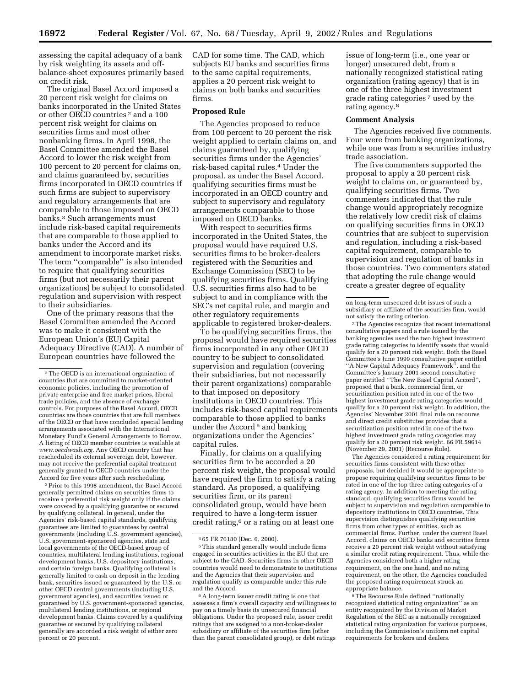assessing the capital adequacy of a bank by risk weighting its assets and offbalance-sheet exposures primarily based on credit risk.

The original Basel Accord imposed a 20 percent risk weight for claims on banks incorporated in the United States or other OECD countries 2 and a 100 percent risk weight for claims on securities firms and most other nonbanking firms. In April 1998, the Basel Committee amended the Basel Accord to lower the risk weight from 100 percent to 20 percent for claims on, and claims guaranteed by, securities firms incorporated in OECD countries if such firms are subject to supervisory and regulatory arrangements that are comparable to those imposed on OECD banks.3 Such arrangements must include risk-based capital requirements that are comparable to those applied to banks under the Accord and its amendment to incorporate market risks. The term ''comparable'' is also intended to require that qualifying securities firms (but not necessarily their parent organizations) be subject to consolidated regulation and supervision with respect to their subsidiaries.

One of the primary reasons that the Basel Committee amended the Accord was to make it consistent with the European Union's (EU) Capital Adequacy Directive (CAD). A number of European countries have followed the

3Prior to this 1998 amendment, the Basel Accord generally permitted claims on securities firms to receive a preferential risk weight only if the claims were covered by a qualifying guarantee or secured by qualifying collateral. In general, under the Agencies' risk-based capital standards, qualifying guarantees are limited to guarantees by central governments (including U.S. government agencies), U.S. government-sponsored agencies, state and local governments of the OECD-based group of countries, multilateral lending institutions, regional development banks, U.S. depository institutions, and certain foreign banks. Qualifying collateral is generally limited to cash on deposit in the lending bank, securities issued or guaranteed by the U.S. or other OECD central governments (including U.S. government agencies), and securities issued or guaranteed by U.S. government-sponsored agencies, multilateral lending institutions, or regional development banks. Claims covered by a qualifying guarantee or secured by qualifying collateral generally are accorded a risk weight of either zero percent or 20 percent.

CAD for some time. The CAD, which subjects EU banks and securities firms to the same capital requirements, applies a 20 percent risk weight to claims on both banks and securities firms.

### **Proposed Rule**

The Agencies proposed to reduce from 100 percent to 20 percent the risk weight applied to certain claims on, and claims guaranteed by, qualifying securities firms under the Agencies' risk-based capital rules.4 Under the proposal, as under the Basel Accord, qualifying securities firms must be incorporated in an OECD country and subject to supervisory and regulatory arrangements comparable to those imposed on OECD banks.

With respect to securities firms incorporated in the United States, the proposal would have required U.S. securities firms to be broker-dealers registered with the Securities and Exchange Commission (SEC) to be qualifying securities firms. Qualifying U.S. securities firms also had to be subject to and in compliance with the SEC's net capital rule, and margin and other regulatory requirements applicable to registered broker-dealers.

To be qualifying securities firms, the proposal would have required securities firms incorporated in any other OECD country to be subject to consolidated supervision and regulation (covering their subsidiaries, but not necessarily their parent organizations) comparable to that imposed on depository institutions in OECD countries. This includes risk-based capital requirements comparable to those applied to banks under the Accord<sup>5</sup> and banking organizations under the Agencies' capital rules.

Finally, for claims on a qualifying securities firm to be accorded a 20 percent risk weight, the proposal would have required the firm to satisfy a rating standard. As proposed, a qualifying securities firm, or its parent consolidated group, would have been required to have a long-term issuer credit rating,<sup>6</sup> or a rating on at least one

issue of long-term (i.e., one year or longer) unsecured debt, from a nationally recognized statistical rating organization (rating agency) that is in one of the three highest investment grade rating categories 7 used by the rating agency.8

## **Comment Analysis**

The Agencies received five comments. Four were from banking organizations, while one was from a securities industry trade association.

The five commenters supported the proposal to apply a 20 percent risk weight to claims on, or guaranteed by, qualifying securities firms. Two commenters indicated that the rule change would appropriately recognize the relatively low credit risk of claims on qualifying securities firms in OECD countries that are subject to supervision and regulation, including a risk-based capital requirement, comparable to supervision and regulation of banks in those countries. Two commenters stated that adopting the rule change would create a greater degree of equality

7The Agencies recognize that recent international consultative papers and a rule issued by the banking agencies used the two highest investment grade rating categories to identify assets that would qualify for a 20 percent risk weight. Both the Basel Committee's June 1999 consultative paper entitled ''A New Capital Adequacy Framework'', and the Committee's January 2001 second consultative paper entitled ''The New Basel Capital Accord'', proposed that a bank, commercial firm, or securitization position rated in one of the two highest investment grade rating categories would qualify for a 20 percent risk weight. In addition, the Agencies' November 2001 final rule on recourse and direct credit substitutes provides that a securitization position rated in one of the two highest investment grade rating categories may qualify for a 20 percent risk weight. 66 FR 59614 (November 29, 2001) (Recourse Rule).

The Agencies considered a rating requirement for securities firms consistent with these other proposals, but decided it would be appropriate to propose requiring qualifying securities firms to be rated in one of the top three rating categories of a rating agency. In addition to meeting the rating standard, qualifying securities firms would be subject to supervision and regulation comparable to depository institutions in OECD countries. This supervision distinguishes qualifying securities firms from other types of entities, such as commercial firms. Further, under the current Basel Accord, claims on OECD banks and securities firms receive a 20 percent risk weight without satisfying a similar credit rating requirement. Thus, while the Agencies considered both a higher rating requirement, on the one hand, and no rating requirement, on the other, the Agencies concluded the proposed rating requirement struck an appropriate balance.

8The Recourse Rule defined ''nationally recognized statistical rating organization'' as an entity recognized by the Division of Market Regulation of the SEC as a nationally recognized statistical rating organization for various purposes, including the Commission's uniform net capital requirements for brokers and dealers.

<sup>2</sup>The OECD is an international organization of countries that are committed to market-oriented economic policies, including the promotion of private enterprise and free market prices, liberal trade policies, and the absence of exchange controls. For purposes of the Basel Accord, OECD countries are those countries that are full members of the OECD or that have concluded special lending arrangements associated with the International Monetary Fund's General Arrangements to Borrow. A listing of OECD member countries is available at *www.oecdwash.org.* Any OECD country that has rescheduled its external sovereign debt, however, may not receive the preferential capital treatment generally granted to OECD countries under the Accord for five years after such rescheduling.

<sup>4</sup> 65 FR 76180 (Dec. 6, 2000).

<sup>5</sup>This standard generally would include firms engaged in securities activities in the EU that are subject to the CAD. Securities firms in other OECD countries would need to demonstrate to institutions and the Agencies that their supervision and regulation qualify as comparable under this rule and the Accord.

<sup>6</sup>A long-term issuer credit rating is one that assesses a firm's overall capacity and willingness to pay on a timely basis its unsecured financial obligations. Under the proposed rule, issuer credit ratings that are assigned to a non-broker-dealer subsidiary or affiliate of the securities firm (other than the parent consolidated group), or debt ratings

on long-term unsecured debt issues of such a subsidiary or affiliate of the securities firm, would not satisfy the rating criterion.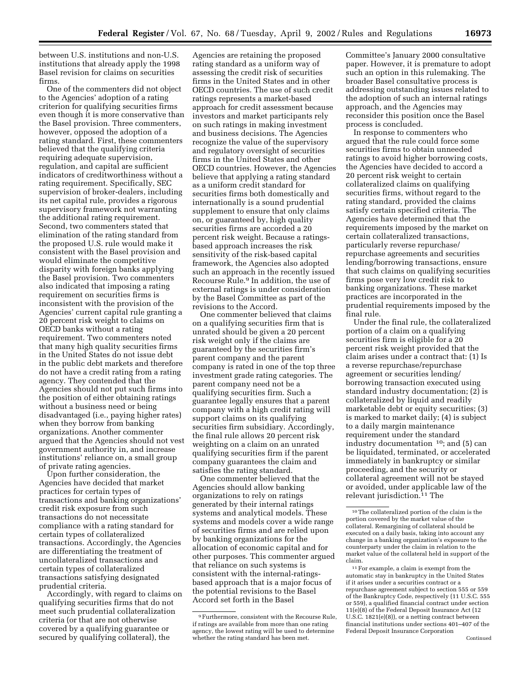between U.S. institutions and non-U.S. institutions that already apply the 1998 Basel revision for claims on securities firms.

One of the commenters did not object to the Agencies' adoption of a rating criterion for qualifying securities firms even though it is more conservative than the Basel provision. Three commenters, however, opposed the adoption of a rating standard. First, these commenters believed that the qualifying criteria requiring adequate supervision, regulation, and capital are sufficient indicators of creditworthiness without a rating requirement. Specifically, SEC supervision of broker-dealers, including its net capital rule, provides a rigorous supervisory framework not warranting the additional rating requirement. Second, two commenters stated that elimination of the rating standard from the proposed U.S. rule would make it consistent with the Basel provision and would eliminate the competitive disparity with foreign banks applying the Basel provision. Two commenters also indicated that imposing a rating requirement on securities firms is inconsistent with the provision of the Agencies' current capital rule granting a 20 percent risk weight to claims on OECD banks without a rating requirement. Two commenters noted that many high quality securities firms in the United States do not issue debt in the public debt markets and therefore do not have a credit rating from a rating agency. They contended that the Agencies should not put such firms into the position of either obtaining ratings without a business need or being disadvantaged (i.e., paying higher rates) when they borrow from banking organizations. Another commenter argued that the Agencies should not vest government authority in, and increase institutions' reliance on, a small group of private rating agencies.

Upon further consideration, the Agencies have decided that market practices for certain types of transactions and banking organizations' credit risk exposure from such transactions do not necessitate compliance with a rating standard for certain types of collateralized transactions. Accordingly, the Agencies are differentiating the treatment of uncollateralized transactions and certain types of collateralized transactions satisfying designated prudential criteria.

Accordingly, with regard to claims on qualifying securities firms that do not meet such prudential collateralization criteria (or that are not otherwise covered by a qualifying guarantee or secured by qualifying collateral), the

Agencies are retaining the proposed rating standard as a uniform way of assessing the credit risk of securities firms in the United States and in other OECD countries. The use of such credit ratings represents a market-based approach for credit assessment because investors and market participants rely on such ratings in making investment and business decisions. The Agencies recognize the value of the supervisory and regulatory oversight of securities firms in the United States and other OECD countries. However, the Agencies believe that applying a rating standard as a uniform credit standard for securities firms both domestically and internationally is a sound prudential supplement to ensure that only claims on, or guaranteed by, high quality securities firms are accorded a 20 percent risk weight. Because a ratingsbased approach increases the risk sensitivity of the risk-based capital framework, the Agencies also adopted such an approach in the recently issued Recourse Rule.9 In addition, the use of external ratings is under consideration by the Basel Committee as part of the revisions to the Accord.

One commenter believed that claims on a qualifying securities firm that is unrated should be given a 20 percent risk weight only if the claims are guaranteed by the securities firm's parent company and the parent company is rated in one of the top three investment grade rating categories. The parent company need not be a qualifying securities firm. Such a guarantee legally ensures that a parent company with a high credit rating will support claims on its qualifying securities firm subsidiary. Accordingly, the final rule allows 20 percent risk weighting on a claim on an unrated qualifying securities firm if the parent company guarantees the claim and satisfies the rating standard.

One commenter believed that the Agencies should allow banking organizations to rely on ratings generated by their internal ratings systems and analytical models. These systems and models cover a wide range of securities firms and are relied upon by banking organizations for the allocation of economic capital and for other purposes. This commenter argued that reliance on such systems is consistent with the internal-ratingsbased approach that is a major focus of the potential revisions to the Basel Accord set forth in the Basel

Committee's January 2000 consultative paper. However, it is premature to adopt such an option in this rulemaking. The broader Basel consultative process is addressing outstanding issues related to the adoption of such an internal ratings approach, and the Agencies may reconsider this position once the Basel process is concluded.

In response to commenters who argued that the rule could force some securities firms to obtain unneeded ratings to avoid higher borrowing costs, the Agencies have decided to accord a 20 percent risk weight to certain collateralized claims on qualifying securities firms, without regard to the rating standard, provided the claims satisfy certain specified criteria. The Agencies have determined that the requirements imposed by the market on certain collateralized transactions, particularly reverse repurchase/ repurchase agreements and securities lending/borrowing transactions, ensure that such claims on qualifying securities firms pose very low credit risk to banking organizations. These market practices are incorporated in the prudential requirements imposed by the final rule.

Under the final rule, the collateralized portion of a claim on a qualifying securities firm is eligible for a 20 percent risk weight provided that the claim arises under a contract that: (1) Is a reverse repurchase/repurchase agreement or securities lending/ borrowing transaction executed using standard industry documentation;  $(2)$  is collateralized by liquid and readily marketable debt or equity securities; (3) is marked to market daily; (4) is subject to a daily margin maintenance requirement under the standard industry documentation 10; and (5) can be liquidated, terminated, or accelerated immediately in bankruptcy or similar proceeding, and the security or collateral agreement will not be stayed or avoided, under applicable law of the relevant jurisdiction.11 The

<sup>9</sup>Furthermore, consistent with the Recourse Rule, if ratings are available from more than one rating agency, the lowest rating will be used to determine whether the rating standard has been met.

<sup>10</sup>The collateralized portion of the claim is the portion covered by the market value of the collateral. Remargining of collateral should be executed on a daily basis, taking into account any change in a banking organization's exposure to the counterparty under the claim in relation to the market value of the collateral held in support of the claim.

<sup>11</sup>For example, a claim is exempt from the automatic stay in bankruptcy in the United States if it arises under a securities contract or a repurchase agreement subject to section 555 or 559 of the Bankruptcy Code, respectively (11 U.S.C. 555 or 559), a qualified financial contract under section 11(e)(8) of the Federal Deposit Insurance Act (12 U.S.C. 1821(e)(8)), or a netting contract between financial institutions under sections 401–407 of the Federal Deposit Insurance Corporation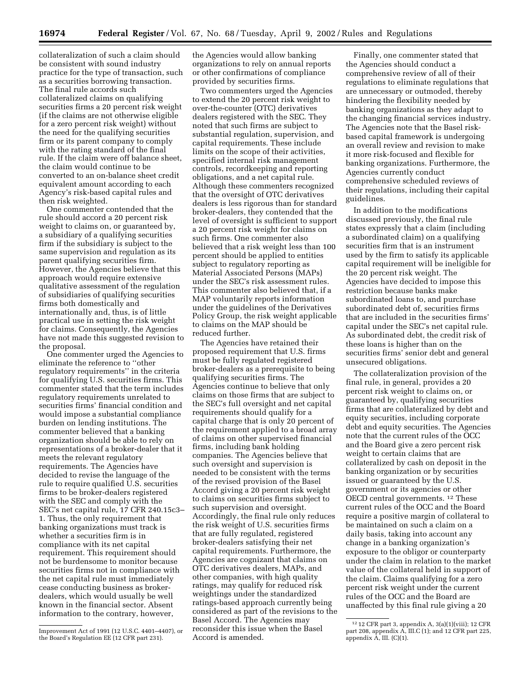collateralization of such a claim should be consistent with sound industry practice for the type of transaction, such as a securities borrowing transaction. The final rule accords such collateralized claims on qualifying securities firms a 20 percent risk weight (if the claims are not otherwise eligible for a zero percent risk weight) without the need for the qualifying securities firm or its parent company to comply with the rating standard of the final rule. If the claim were off balance sheet, the claim would continue to be converted to an on-balance sheet credit equivalent amount according to each Agency's risk-based capital rules and then risk weighted.

One commenter contended that the rule should accord a 20 percent risk weight to claims on, or guaranteed by, a subsidiary of a qualifying securities firm if the subsidiary is subject to the same supervision and regulation as its parent qualifying securities firm. However, the Agencies believe that this approach would require extensive qualitative assessment of the regulation of subsidiaries of qualifying securities firms both domestically and internationally and, thus, is of little practical use in setting the risk weight for claims. Consequently, the Agencies have not made this suggested revision to the proposal.

One commenter urged the Agencies to eliminate the reference to ''other regulatory requirements'' in the criteria for qualifying U.S. securities firms. This commenter stated that the term includes regulatory requirements unrelated to securities firms' financial condition and would impose a substantial compliance burden on lending institutions. The commenter believed that a banking organization should be able to rely on representations of a broker-dealer that it meets the relevant regulatory requirements. The Agencies have decided to revise the language of the rule to require qualified U.S. securities firms to be broker-dealers registered with the SEC and comply with the SEC's net capital rule, 17 CFR 240.15c3– 1. Thus, the only requirement that banking organizations must track is whether a securities firm is in compliance with its net capital requirement. This requirement should not be burdensome to monitor because securities firms not in compliance with the net capital rule must immediately cease conducting business as brokerdealers, which would usually be well known in the financial sector. Absent information to the contrary, however,

the Agencies would allow banking organizations to rely on annual reports or other confirmations of compliance provided by securities firms.

Two commenters urged the Agencies to extend the 20 percent risk weight to over-the-counter (OTC) derivatives dealers registered with the SEC. They noted that such firms are subject to substantial regulation, supervision, and capital requirements. These include limits on the scope of their activities, specified internal risk management controls, recordkeeping and reporting obligations, and a net capital rule. Although these commenters recognized that the oversight of OTC derivatives dealers is less rigorous than for standard broker-dealers, they contended that the level of oversight is sufficient to support a 20 percent risk weight for claims on such firms. One commenter also believed that a risk weight less than 100 percent should be applied to entities subject to regulatory reporting as Material Associated Persons (MAPs) under the SEC's risk assessment rules. This commenter also believed that, if a MAP voluntarily reports information under the guidelines of the Derivatives Policy Group, the risk weight applicable to claims on the MAP should be reduced further.

The Agencies have retained their proposed requirement that U.S. firms must be fully regulated registered broker-dealers as a prerequisite to being qualifying securities firms. The Agencies continue to believe that only claims on those firms that are subject to the SEC's full oversight and net capital requirements should qualify for a capital charge that is only 20 percent of the requirement applied to a broad array of claims on other supervised financial firms, including bank holding companies. The Agencies believe that such oversight and supervision is needed to be consistent with the terms of the revised provision of the Basel Accord giving a 20 percent risk weight to claims on securities firms subject to such supervision and oversight. Accordingly, the final rule only reduces the risk weight of U.S. securities firms that are fully regulated, registered broker-dealers satisfying their net capital requirements. Furthermore, the Agencies are cognizant that claims on OTC derivatives dealers, MAPs, and other companies, with high quality ratings, may qualify for reduced risk weightings under the standardized ratings-based approach currently being considered as part of the revisions to the Basel Accord. The Agencies may reconsider this issue when the Basel Accord is amended.

Finally, one commenter stated that the Agencies should conduct a comprehensive review of all of their regulations to eliminate regulations that are unnecessary or outmoded, thereby hindering the flexibility needed by banking organizations as they adapt to the changing financial services industry. The Agencies note that the Basel riskbased capital framework is undergoing an overall review and revision to make it more risk-focused and flexible for banking organizations. Furthermore, the Agencies currently conduct comprehensive scheduled reviews of their regulations, including their capital guidelines.

In addition to the modifications discussed previously, the final rule states expressly that a claim (including a subordinated claim) on a qualifying securities firm that is an instrument used by the firm to satisfy its applicable capital requirement will be ineligible for the 20 percent risk weight. The Agencies have decided to impose this restriction because banks make subordinated loans to, and purchase subordinated debt of, securities firms that are included in the securities firms' capital under the SEC's net capital rule. As subordinated debt, the credit risk of these loans is higher than on the securities firms' senior debt and general unsecured obligations.

The collateralization provision of the final rule, in general, provides a 20 percent risk weight to claims on, or guaranteed by, qualifying securities firms that are collateralized by debt and equity securities, including corporate debt and equity securities. The Agencies note that the current rules of the OCC and the Board give a zero percent risk weight to certain claims that are collateralized by cash on deposit in the banking organization or by securities issued or guaranteed by the U.S. government or its agencies or other OECD central governments. 12 These current rules of the OCC and the Board require a positive margin of collateral to be maintained on such a claim on a daily basis, taking into account any change in a banking organization's exposure to the obligor or counterparty under the claim in relation to the market value of the collateral held in support of the claim. Claims qualifying for a zero percent risk weight under the current rules of the OCC and the Board are unaffected by this final rule giving a 20

Improvement Act of 1991 (12 U.S.C. 4401–4407), or the Board's Regulation EE (12 CFR part 231).

<sup>12</sup> 12 CFR part 3, appendix A, 3(a)(1)(viii); 12 CFR part 208, appendix A, III.C (1); and 12 CFR part 225, appendix A, III. (C)(1).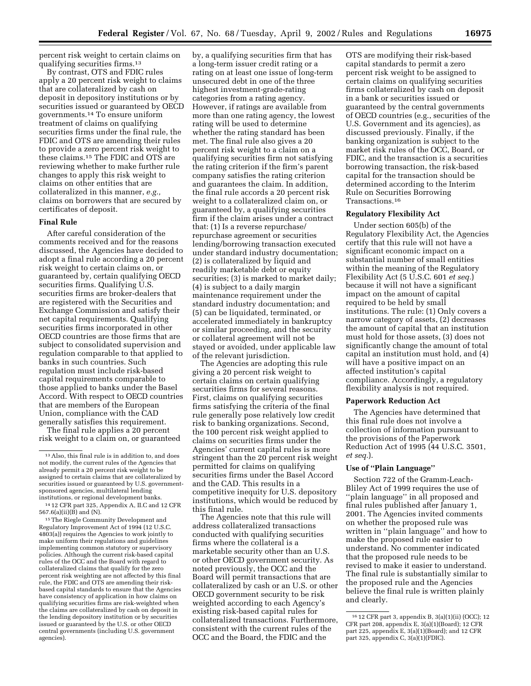percent risk weight to certain claims on qualifying securities firms.13

By contrast, OTS and FDIC rules apply a 20 percent risk weight to claims that are collateralized by cash on deposit in depository institutions or by securities issued or guaranteed by OECD governments.14 To ensure uniform treatment of claims on qualifying securities firms under the final rule, the FDIC and OTS are amending their rules to provide a zero percent risk weight to these claims.15 The FDIC and OTS are reviewing whether to make further rule changes to apply this risk weight to claims on other entities that are collateralized in this manner, *e.g.,* claims on borrowers that are secured by certificates of deposit.

## **Final Rule**

After careful consideration of the comments received and for the reasons discussed, the Agencies have decided to adopt a final rule according a 20 percent risk weight to certain claims on, or guaranteed by, certain qualifying OECD securities firms. Qualifying U.S. securities firms are broker-dealers that are registered with the Securities and Exchange Commission and satisfy their net capital requirements. Qualifying securities firms incorporated in other OECD countries are those firms that are subject to consolidated supervision and regulation comparable to that applied to banks in such countries. Such regulation must include risk-based capital requirements comparable to those applied to banks under the Basel Accord. With respect to OECD countries that are members of the European Union, compliance with the CAD generally satisfies this requirement.

The final rule applies a 20 percent risk weight to a claim on, or guaranteed by, a qualifying securities firm that has a long-term issuer credit rating or a rating on at least one issue of long-term unsecured debt in one of the three highest investment-grade-rating categories from a rating agency. However, if ratings are available from more than one rating agency, the lowest rating will be used to determine whether the rating standard has been met. The final rule also gives a 20 percent risk weight to a claim on a qualifying securities firm not satisfying the rating criterion if the firm's parent company satisfies the rating criterion and guarantees the claim. In addition, the final rule accords a 20 percent risk weight to a collateralized claim on, or guaranteed by, a qualifying securities firm if the claim arises under a contract that: (1) Is a reverse repurchase/ repurchase agreement or securities lending/borrowing transaction executed under standard industry documentation; (2) is collateralized by liquid and readily marketable debt or equity securities; (3) is marked to market daily; (4) is subject to a daily margin maintenance requirement under the standard industry documentation; and (5) can be liquidated, terminated, or accelerated immediately in bankruptcy or similar proceeding, and the security or collateral agreement will not be stayed or avoided, under applicable law of the relevant jurisdiction.

The Agencies are adopting this rule giving a 20 percent risk weight to certain claims on certain qualifying securities firms for several reasons. First, claims on qualifying securities firms satisfying the criteria of the final rule generally pose relatively low credit risk to banking organizations. Second, the 100 percent risk weight applied to claims on securities firms under the Agencies' current capital rules is more stringent than the 20 percent risk weight permitted for claims on qualifying securities firms under the Basel Accord and the CAD. This results in a competitive inequity for U.S. depository institutions, which would be reduced by this final rule.

The Agencies note that this rule will address collateralized transactions conducted with qualifying securities firms where the collateral is a marketable security other than an U.S. or other OECD government security. As noted previously, the OCC and the Board will permit transactions that are collateralized by cash or an U.S. or other OECD government security to be risk weighted according to each Agency's existing risk-based capital rules for collateralized transactions. Furthermore, consistent with the current rules of the OCC and the Board, the FDIC and the

OTS are modifying their risk-based capital standards to permit a zero percent risk weight to be assigned to certain claims on qualifying securities firms collateralized by cash on deposit in a bank or securities issued or guaranteed by the central governments of OECD countries (e.g., securities of the U.S. Government and its agencies), as discussed previously. Finally, if the banking organization is subject to the market risk rules of the OCC, Board, or FDIC, and the transaction is a securities borrowing transaction, the risk-based capital for the transaction should be determined according to the Interim Rule on Securities Borrowing Transactions.16

### **Regulatory Flexibility Act**

Under section 605(b) of the Regulatory Flexibility Act, the Agencies certify that this rule will not have a significant economic impact on a substantial number of small entities within the meaning of the Regulatory Flexibility Act (5 U.S.C. 601 *et seq.*) because it will not have a significant impact on the amount of capital required to be held by small institutions. The rule: (1) Only covers a narrow category of assets, (2) decreases the amount of capital that an institution must hold for those assets, (3) does not significantly change the amount of total capital an institution must hold, and (4) will have a positive impact on an affected institution's capital compliance. Accordingly, a regulatory flexibility analysis is not required.

### **Paperwork Reduction Act**

The Agencies have determined that this final rule does not involve a collection of information pursuant to the provisions of the Paperwork Reduction Act of 1995 (44 U.S.C. 3501, *et seq.*).

## **Use of ''Plain Language''**

Section 722 of the Gramm-Leach-Bliley Act of 1999 requires the use of ''plain language'' in all proposed and final rules published after January 1, 2001. The Agencies invited comments on whether the proposed rule was written in ''plain language'' and how to make the proposed rule easier to understand. No commenter indicated that the proposed rule needs to be revised to make it easier to understand. The final rule is substantially similar to the proposed rule and the Agencies believe the final rule is written plainly and clearly.

<sup>13</sup>Also, this final rule is in addition to, and does not modify, the current rules of the Agencies that already permit a 20 percent risk weight to be assigned to certain claims that are collateralized by securities issued or guaranteed by U.S. governmentsponsored agencies, multilateral lending institutions, or regional development banks.

<sup>14</sup> 12 CFR part 325, Appendix A, II.C and 12 CFR 567.6(a)(ii)(B) and (N).

<sup>15</sup>The Riegle Community Development and Regulatory Improvement Act of 1994 (12 U.S.C. 4803(a)) requires the Agencies to work jointly to make uniform their regulations and guidelines implementing common statutory or supervisory policies. Although the current risk-based capital rules of the OCC and the Board with regard to collateralized claims that qualify for the zero percent risk weighting are not affected by this final rule, the FDIC and OTS are amending their riskbased capital standards to ensure that the Agencies have consistency of application in how claims on qualifying securities firms are risk-weighted when the claims are collateralized by cash on deposit in the lending depository institution or by securities issued or guaranteed by the U.S. or other OECD central governments (including U.S. government agencies).

<sup>16</sup> 12 CFR part 3, appendix B, 3(a)(1)(ii) (OCC); 12 CFR part 208, appendix E, 3(a)(1)(Board); 12 CFR part 225, appendix E, 3(a)(1)(Board); and 12 CFR part 325, appendix  $C$ ,  $3(a)(1)(FDIC)$ .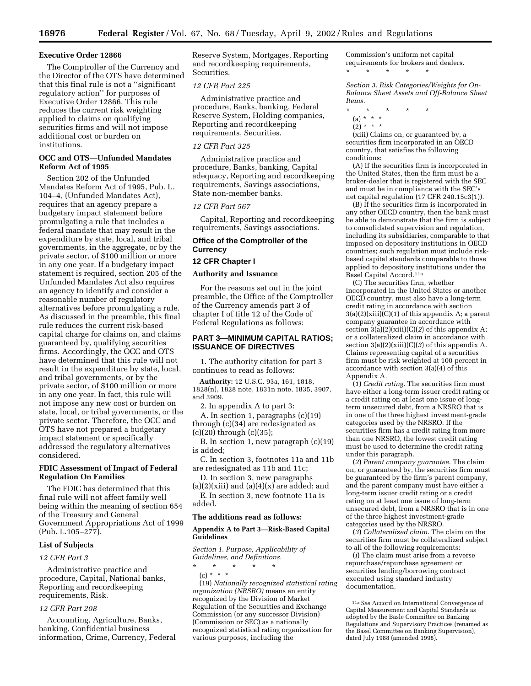#### **Executive Order 12866**

The Comptroller of the Currency and the Director of the OTS have determined that this final rule is not a ''significant regulatory action'' for purposes of Executive Order 12866. This rule reduces the current risk weighting applied to claims on qualifying securities firms and will not impose additional cost or burden on institutions.

## **OCC and OTS—Unfunded Mandates Reform Act of 1995**

Section 202 of the Unfunded Mandates Reform Act of 1995, Pub. L. 104–4, (Unfunded Mandates Act), requires that an agency prepare a budgetary impact statement before promulgating a rule that includes a federal mandate that may result in the expenditure by state, local, and tribal governments, in the aggregate, or by the private sector, of \$100 million or more in any one year. If a budgetary impact statement is required, section 205 of the Unfunded Mandates Act also requires an agency to identify and consider a reasonable number of regulatory alternatives before promulgating a rule. As discussed in the preamble, this final rule reduces the current risk-based capital charge for claims on, and claims guaranteed by, qualifying securities firms. Accordingly, the OCC and OTS have determined that this rule will not result in the expenditure by state, local, and tribal governments, or by the private sector, of \$100 million or more in any one year. In fact, this rule will not impose any new cost or burden on state, local, or tribal governments, or the private sector. Therefore, the OCC and OTS have not prepared a budgetary impact statement or specifically addressed the regulatory alternatives considered.

### **FDIC Assessment of Impact of Federal Regulation On Families**

The FDIC has determined that this final rule will not affect family well being within the meaning of section 654 of the Treasury and General Government Appropriations Act of 1999 (Pub. L.105–277).

### **List of Subjects**

#### *12 CFR Part 3*

Administrative practice and procedure, Capital, National banks, Reporting and recordkeeping requirements, Risk.

## *12 CFR Part 208*

Accounting, Agriculture, Banks, banking, Confidential business information, Crime, Currency, Federal Reserve System, Mortgages, Reporting and recordkeeping requirements, Securities.

## *12 CFR Part 225*

Administrative practice and procedure, Banks, banking, Federal Reserve System, Holding companies, Reporting and recordkeeping requirements, Securities.

## *12 CFR Part 325*

Administrative practice and procedure, Banks, banking, Capital adequacy, Reporting and recordkeeping requirements, Savings associations, State non-member banks.

### *12 CFR Part 567*

Capital, Reporting and recordkeeping requirements, Savings associations.

### **Office of the Comptroller of the Currency**

#### **12 CFR Chapter I**

#### **Authority and Issuance**

For the reasons set out in the joint preamble, the Office of the Comptroller of the Currency amends part 3 of chapter I of title 12 of the Code of Federal Regulations as follows:

## **PART 3—MINIMUM CAPITAL RATIOS; ISSUANCE OF DIRECTIVES**

1. The authority citation for part 3 continues to read as follows:

**Authority:** 12 U.S.C. 93a, 161, 1818, 1828(n), 1828 note, 1831n note, 1835, 3907, and 3909.

2. In appendix A to part 3: A. In section 1, paragraphs (c)(19)

through (c)(34) are redesignated as (c)(20) through (c)(35);

B. In section 1, new paragraph (c)(19) is added;

C. In section 3, footnotes 11a and 11b are redesignated as 11b and 11c;

D. In section 3, new paragraphs

 $(a)(2)(xiii)$  and  $(a)(4)(x)$  are added; and E. In section 3, new footnote 11a is added.

#### **The additions read as follows:**

#### **Appendix A to Part 3—Risk-Based Capital Guidelines**

*Section 1. Purpose, Applicability of Guidelines, and Definitions.*

\* \* \* \* \* (c) \* \* \*

(19) *Nationally recognized statistical rating organization (NRSRO)* means an entity recognized by the Division of Market Regulation of the Securities and Exchange Commission (or any successor Division) (Commission or SEC) as a nationally recognized statistical rating organization for various purposes, including the

Commission's uniform net capital requirements for brokers and dealers. \* \* \* \* \*

*Section 3. Risk Categories/Weights for On-Balance Sheet Assets and Off-Balance Sheet Items.*

- \* \* \* \* \*
- (a) \* \* \*
- $(2) * * * *$

(xiii) Claims on, or guaranteed by, a securities firm incorporated in an OECD country, that satisfies the following conditions:

(A) If the securities firm is incorporated in the United States, then the firm must be a broker-dealer that is registered with the SEC and must be in compliance with the SEC's net capital regulation (17 CFR 240.15c3(1)).

(B) If the securities firm is incorporated in any other OECD country, then the bank must be able to demonstrate that the firm is subject to consolidated supervision and regulation, including its subsidiaries, comparable to that imposed on depository institutions in OECD countries; such regulation must include riskbased capital standards comparable to those applied to depository institutions under the Basel Capital Accord.11a

(C) The securities firm, whether incorporated in the United States or another OECD country, must also have a long-term credit rating in accordance with section 3(a)(2)(xiii)(C)(*1*) of this appendix A; a parent company guarantee in accordance with section 3(a)(2)(xiii)(C)(*2*) of this appendix A; or a collateralized claim in accordance with section 3(a)(2)(xiii)(C)(*3*) of this appendix A. Claims representing capital of a securities firm must be risk weighted at 100 percent in accordance with section 3(a)(4) of this Appendix A.

(*1*) *Credit rating*. The securities firm must have either a long-term issuer credit rating or a credit rating on at least one issue of longterm unsecured debt, from a NRSRO that is in one of the three highest investment-grade categories used by the NRSRO. If the securities firm has a credit rating from more than one NRSRO, the lowest credit rating must be used to determine the credit rating under this paragraph.

(*2*) *Parent company guarantee.* The claim on, or guaranteed by, the securities firm must be guaranteed by the firm's parent company, and the parent company must have either a long-term issuer credit rating or a credit rating on at least one issue of long-term unsecured debt, from a NRSRO that is in one of the three highest investment-grade categories used by the NRSRO.

(*3*) *Collateralized claim*. The claim on the securities firm must be collateralized subject to all of the following requirements:

(*i*) The claim must arise from a reverse repurchase/repurchase agreement or securities lending/borrowing contract executed using standard industry documentation.

<sup>11</sup>a*See* Accord on International Convergence of Capital Measurement and Capital Standards as adopted by the Basle Committee on Banking Regulations and Supervisory Practices (renamed as the Basel Committee on Banking Supervision), dated July 1988 (amended 1998).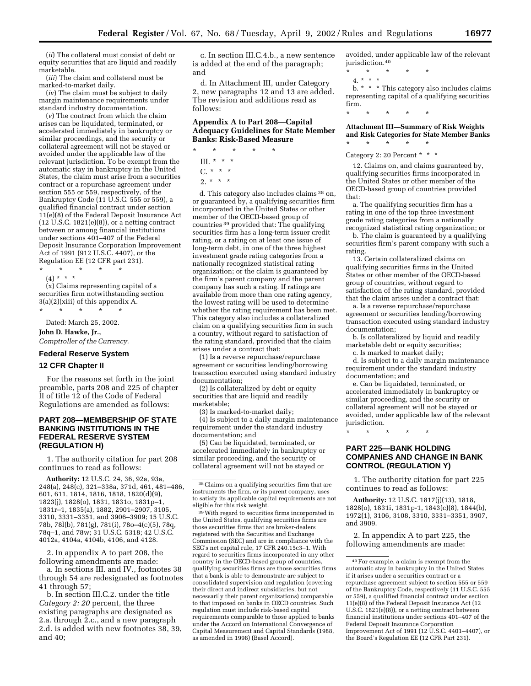(*ii*) The collateral must consist of debt or equity securities that are liquid and readily marketable.

(*iii*) The claim and collateral must be marked-to-market daily.

(*iv*) The claim must be subject to daily margin maintenance requirements under standard industry documentation.

(*v*) The contract from which the claim arises can be liquidated, terminated, or accelerated immediately in bankruptcy or similar proceedings, and the security or collateral agreement will not be stayed or avoided under the applicable law of the relevant jurisdiction. To be exempt from the automatic stay in bankruptcy in the United States, the claim must arise from a securities contract or a repurchase agreement under section 555 or 559, respectively, of the Bankruptcy Code (11 U.S.C. 555 or 559), a qualified financial contract under section 11(e)(8) of the Federal Deposit Insurance Act (12 U.S.C. 1821(e)(8)), or a netting contract between or among financial institutions under sections 401–407 of the Federal Deposit Insurance Corporation Improvement Act of 1991 (912 U.S.C. 4407), or the Regulation EE (12 CFR part 231).

\* \* \* \* \*

(4) \* \* \*

(x) Claims representing capital of a securities firm notwithstanding section  $3(a)(2)(xiii)$  of this appendix A.

\* \* \* \* \*

Dated: March 25, 2002.

**John D. Hawke, Jr.,** *Comptroller of the Currency.*

## **Federal Reserve System**

#### **12 CFR Chapter II**

For the reasons set forth in the joint preamble, parts 208 and 225 of chapter II of title 12 of the Code of Federal Regulations are amended as follows:

## **PART 208—MEMBERSHIP OF STATE BANKING INSTITUTIONS IN THE FEDERAL RESERVE SYSTEM (REGULATION H)**

1. The authority citation for part 208 continues to read as follows:

**Authority:** 12 U.S.C. 24, 36, 92a, 93a, 248(a), 248(c), 321–338a, 371d, 461, 481–486, 601, 611, 1814, 1816, 1818, 1820(d)(9), 1823(j), 1828(o), 1831, 1831o, 1831p–1, 1831r–1, 1835(a), 1882, 2901–2907, 3105, 3310, 3331–3351, and 3906–3909; 15 U.S.C. 78b, 78l(b), 781(g), 781(i), 78o–4(c)(5), 78q, 78q–1, and 78w; 31 U.S.C. 5318; 42 U.S.C. 4012a, 4104a, 4104b, 4106, and 4128.

2. In appendix A to part 208, the following amendments are made: a. In sections III. and IV., footnotes 38 through 54 are redesignated as footnotes 41 through 57;

b. In section III.C.2. under the title *Category 2: 20* percent, the three existing paragraphs are designated as 2.a. through 2.c., and a new paragraph 2.d. is added with new footnotes 38, 39, and 40;

c. In section III.C.4.b., a new sentence is added at the end of the paragraph; and

d. In Attachment III, under Category 2, new paragraphs 12 and 13 are added. The revision and additions read as follows:

## **Appendix A to Part 208—Capital Adequacy Guidelines for State Member Banks: Risk-Based Measure**

- \* \* \* \* \* III. \* \* \*
	- $C. * * * *$
	- $2. * * * *$

d. This category also includes claims 38 on, or guaranteed by, a qualifying securities firm incorporated in the United States or other member of the OECD-based group of countries 39 provided that: The qualifying securities firm has a long-term issuer credit rating, or a rating on at least one issue of long-term debt, in one of the three highest investment grade rating categories from a nationally recognized statistical rating organization; or the claim is guaranteed by the firm's parent company and the parent company has such a rating. If ratings are available from more than one rating agency, the lowest rating will be used to determine whether the rating requirement has been met. This category also includes a collateralized claim on a qualifying securities firm in such a country, without regard to satisfaction of the rating standard, provided that the claim arises under a contract that:

(1) Is a reverse repurchase/repurchase agreement or securities lending/borrowing transaction executed using standard industry documentation;

(2) Is collateralized by debt or equity securities that are liquid and readily marketable;

(3) Is marked-to-market daily;

(4) Is subject to a daily margin maintenance requirement under the standard industry documentation; and

(5) Can be liquidated, terminated, or accelerated immediately in bankruptcy or similar proceeding, and the security or collateral agreement will not be stayed or

39With regard to securities firms incorporated in the United States, qualifying securities firms are those securities firms that are broker-dealers registered with the Securities and Exchange Commission (SEC) and are in compliance with the SEC's net capital rule, 17 CFR 240.15c3–1. With regard to securities firms incorporated in any other country in the OECD-based group of countries, qualifying securities firms are those securities firms that a bank is able to demonstrate are subject to consolidated supervision and regulation (covering their direct and indirect subsidiaries, but not necessarily their parent organizations) comparable to that imposed on banks in OECD countries. Such regulation must include risk-based capital requirements comparable to those applied to banks under the Accord on International Convergence of Capital Measurement and Capital Standards (1988, as amended in 1998) (Basel Accord).

avoided, under applicable law of the relevant jurisdiction.40

- \* \* \* \* \*
	- 4. \* \* \*

b. \* \* \* This category also includes claims representing capital of a qualifying securities firm.

**Attachment III—Summary of Risk Weights and Risk Categories for State Member Banks** \* \* \* \* \*

## Category 2: 20 Percent \* \* \*

\* \* \* \* \*

12. Claims on, and claims guaranteed by, qualifying securities firms incorporated in the United States or other member of the OECD-based group of countries provided that:

a. The qualifying securities firm has a rating in one of the top three investment grade rating categories from a nationally recognized statistical rating organization; or

b. The claim is guaranteed by a qualifying securities firm's parent company with such a rating.

13. Certain collateralized claims on qualifying securities firms in the United States or other member of the OECD-based group of countries, without regard to satisfaction of the rating standard, provided that the claim arises under a contract that:

a. Is a reverse repurchase/repurchase agreement or securities lending/borrowing transaction executed using standard industry documentation;

b. Is collateralized by liquid and readily marketable debt or equity securities;

c. Is marked to market daily;

d. Is subject to a daily margin maintenance requirement under the standard industry documentation; and

e. Can be liquidated, terminated, or accelerated immediately in bankruptcy or similar proceeding, and the security or collateral agreement will not be stayed or avoided, under applicable law of the relevant jurisdiction.

\* \* \* \* \*

## **PART 225—BANK HOLDING COMPANIES AND CHANGE IN BANK CONTROL (REGULATION Y)**

1. The authority citation for part 225 continues to read as follows:

**Authority:** 12 U.S.C. 1817(j)(13), 1818, 1828(o), 1831i, 1831p-1, 1843(c)(8), 1844(b), 1972(1), 3106, 3108, 3310, 3331–3351, 3907, and 3909.

2. In appendix A to part 225, the following amendments are made:

<sup>38</sup>Claims on a qualifying securities firm that are instruments the firm, or its parent company, uses to satisfy its applicable capital requirements are not eligible for this risk weight.

<sup>40</sup>For example, a claim is exempt from the automatic stay in bankruptcy in the United States if it arises under a securities contract or a repurchase agreement subject to section 555 or 559 of the Bankruptcy Code, respectively (11 U.S.C. 555 or 559), a qualified financial contract under section 11(e)(8) of the Federal Deposit Insurance Act (12 U.S.C. 1821(e)(8)), or a netting contract between financial institutions under sections 401–407 of the Federal Deposit Insurance Corporation Improvement Act of 1991 (12 U.S.C. 4401–4407), or the Board's Regulation EE (12 CFR Part 231).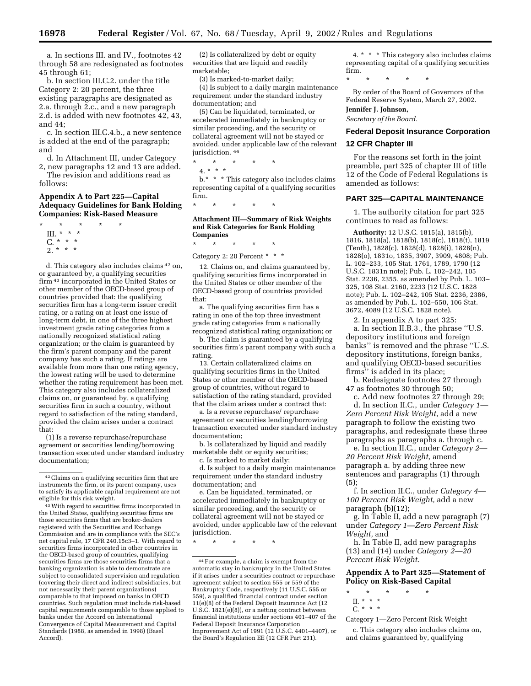a. In sections III. and IV., footnotes 42 through 58 are redesignated as footnotes 45 through 61;

b. In section III.C.2. under the title Category 2: 20 percent, the three existing paragraphs are designated as 2.a. through 2.c., and a new paragraph 2.d. is added with new footnotes 42, 43, and  $44$ 

c. In section III.C.4.b., a new sentence is added at the end of the paragraph; and

d. In Attachment III, under Category 2, new paragraphs 12 and 13 are added.

The revision and additions read as follows:

### **Appendix A to Part 225—Capital Adequacy Guidelines for Bank Holding Companies: Risk-Based Measure**

- \* \* \* \* \* III. \* \* \*
	- C. \* \* \* 2. \* \* \*
	-

d. This category also includes claims 42 on, or guaranteed by, a qualifying securities firm 43 incorporated in the United States or other member of the OECD-based group of countries provided that: the qualifying securities firm has a long-term issuer credit rating, or a rating on at least one issue of long-term debt, in one of the three highest investment grade rating categories from a nationally recognized statistical rating organization; or the claim is guaranteed by the firm's parent company and the parent company has such a rating. If ratings are available from more than one rating agency, the lowest rating will be used to determine whether the rating requirement has been met. This category also includes collateralized claims on, or guaranteed by, a qualifying securities firm in such a country, without regard to satisfaction of the rating standard, provided the claim arises under a contract that:

(1) Is a reverse repurchase/repurchase agreement or securities lending/borrowing transaction executed under standard industry documentation;

(2) Is collateralized by debt or equity securities that are liquid and readily marketable;

(3) Is marked-to-market daily;

(4) Is subject to a daily margin maintenance requirement under the standard industry documentation; and

(5) Can be liquidated, terminated, or accelerated immediately in bankruptcy or similar proceeding, and the security or collateral agreement will not be stayed or avoided, under applicable law of the relevant jurisdiction. 44

\* \* \* \* \* 4. \* \* \* b.\* \* \* This category also includes claims

representing capital of a qualifying securities firm.

\* \* \* \* \*

#### **Attachment III—Summary of Risk Weights and Risk Categories for Bank Holding Companies**

\* \* \* \* \*

Category 2: 20 Percent \* \* \*

12. Claims on, and claims guaranteed by, qualifying securities firms incorporated in the United States or other member of the OECD-based group of countries provided that:

a. The qualifying securities firm has a rating in one of the top three investment grade rating categories from a nationally recognized statistical rating organization; or

b. The claim is guaranteed by a qualifying securities firm's parent company with such a rating.

13. Certain collateralized claims on qualifying securities firms in the United States or other member of the OECD-based group of countries, without regard to satisfaction of the rating standard, provided that the claim arises under a contract that:

a. Is a reverse repurchase/ repurchase agreement or securities lending/borrowing transaction executed under standard industry documentation;

b. Is collateralized by liquid and readily marketable debt or equity securities;

c. Is marked to market daily;

d. Is subject to a daily margin maintenance requirement under the standard industry documentation; and

e. Can be liquidated, terminated, or accelerated immediately in bankruptcy or similar proceeding, and the security or collateral agreement will not be stayed or avoided, under applicable law of the relevant jurisdiction.

\* \* \* \* \*

4. \* \* \* This category also includes claims representing capital of a qualifying securities firm.

\* \* \* \* \*

By order of the Board of Governors of the Federal Reserve System, March 27, 2002.

**Jennifer J. Johnson,**

*Secretary of the Board.*

# **Federal Deposit Insurance Corporation 12 CFR Chapter III**

For the reasons set forth in the joint preamble, part 325 of chapter III of title 12 of the Code of Federal Regulations is amended as follows:

## **PART 325—CAPITAL MAINTENANCE**

1. The authority citation for part 325 continues to read as follows:

**Authority:** 12 U.S.C. 1815(a), 1815(b), 1816, 1818(a), 1818(b), 1818(c), 1818(t), 1819 (Tenth), 1828(c), 1828(d), 1828(i), 1828(n), 1828(o), 1831o, 1835, 3907, 3909, 4808; Pub. L. 102–233, 105 Stat. 1761, 1789, 1790 (12 U.S.C. 1831n note); Pub. L. 102–242, 105 Stat. 2236, 2355, as amended by Pub. L. 103– 325, 108 Stat. 2160, 2233 (12 U.S.C. 1828 note); Pub. L. 102–242, 105 Stat. 2236, 2386, as amended by Pub. L. 102–550, 106 Stat. 3672, 4089 (12 U.S.C. 1828 note).

2. In appendix A to part 325:

a. In section II.B.3., the phrase ''U.S. depository institutions and foreign banks'' is removed and the phrase ''U.S. depository institutions, foreign banks, and qualifying OECD-based securities firms'' is added in its place;

b. Redesignate footnotes 27 through 47 as footnotes 30 through 50;

c. Add new footnotes 27 through 29; d. In section II.C., under *Category 1— Zero Percent Risk Weight*, add a new paragraph to follow the existing two paragraphs, and redesignate these three paragraphs as paragraphs a. through c.

e. In section II.C., under *Category 2— 20 Percent Risk Weight,* amend paragraph a. by adding three new sentences and paragraphs (1) through (5);

f. In section II.C., under *Category 4— 100 Percent Risk Weight,* add a new paragraph (b)(12);

g. In Table II, add a new paragraph (7) under *Category 1—Zero Percent Risk Weight,* and

h. In Table II, add new paragraphs (13) and (14) under *Category 2—20 Percent Risk Weight.*

# **Appendix A to Part 325—Statement of Policy on Risk-Based Capital**

- \* \* \* \* \* II. \* \* \*
- $C_{n}$  \* \* \*

Category 1—Zero Percent Risk Weight

c. This category also includes claims on, and claims guaranteed by, qualifying

<sup>42</sup>Claims on a qualifying securities firm that are instruments the firm, or its parent company, uses to satisfy its applicable capital requirement are not eligible for this risk weight.

<sup>43</sup>With regard to securities firms incorporated in the United States, qualifying securities firms are those securities firms that are broker-dealers registered with the Securities and Exchange Commission and are in compliance with the SEC's net capital rule, 17 CFR 240.15c3–1. With regard to securities firms incorporated in other countries in the OECD-based group of countries, qualifying securities firms are those securities firms that a banking organization is able to demonstrate are subject to consolidated supervision and regulation (covering their direct and indirect subsidiaries, but not necessarily their parent organizations) comparable to that imposed on banks in OECD countries. Such regulation must include risk-based capital requirements comparable to those applied to banks under the Accord on International Convergence of Capital Measurement and Capital Standards (1988, as amended in 1998) (Basel Accord).

<sup>44</sup>For example, a claim is exempt from the automatic stay in bankruptcy in the United States if it arises under a securities contract or repurchase agreement subject to section 555 or 559 of the Bankruptcy Code, respectively (11 U.S.C. 555 or 559), a qualified financial contract under section 11(e)(8) of the Federal Deposit Insurance Act (12 U.S.C. 1821(e)(8)), or a netting contract between financial institutions under sections 401–407 of the Federal Deposit Insurance Corporation Improvement Act of 1991 (12 U.S.C. 4401–4407), or the Board's Regulation EE (12 CFR Part 231).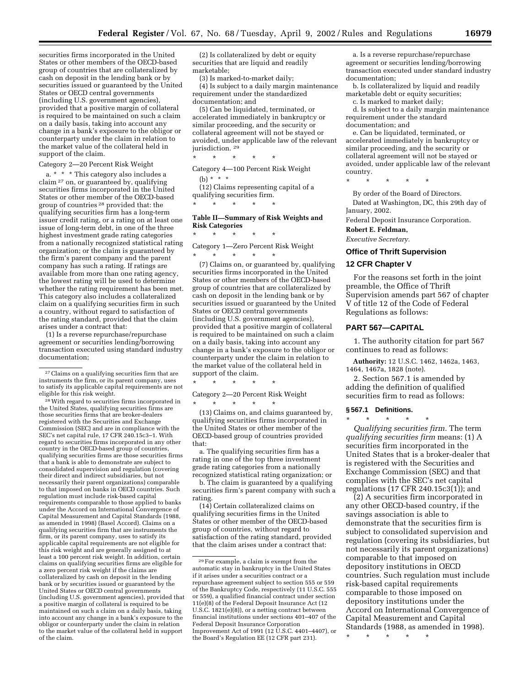securities firms incorporated in the United States or other members of the OECD-based group of countries that are collateralized by cash on deposit in the lending bank or by securities issued or guaranteed by the United States or OECD central governments (including U.S. government agencies), provided that a positive margin of collateral is required to be maintained on such a claim on a daily basis, taking into account any change in a bank's exposure to the obligor or counterparty under the claim in relation to the market value of the collateral held in support of the claim.

Category 2—20 Percent Risk Weight

a. \* \* \* This category also includes a claim 27 on, or guaranteed by, qualifying securities firms incorporated in the United States or other member of the OECD-based group of countries 28 provided that: the qualifying securities firm has a long-term issuer credit rating, or a rating on at least one issue of long-term debt, in one of the three highest investment grade rating categories from a nationally recognized statistical rating organization; or the claim is guaranteed by the firm's parent company and the parent company has such a rating. If ratings are available from more than one rating agency, the lowest rating will be used to determine whether the rating requirement has been met. This category also includes a collateralized claim on a qualifying securities firm in such a country, without regard to satisfaction of the rating standard, provided that the claim arises under a contract that:

(1) Is a reverse repurchase/repurchase agreement or securities lending/borrowing transaction executed using standard industry documentation;

28With regard to securities firms incorporated in the United States, qualifying securities firms are those securities firms that are broker-dealers registered with the Securities and Exchange Commission (SEC) and are in compliance with the SEC's net capital rule, 17 CFR 240.15c3–1. With regard to securities firms incorporated in any other country in the OECD-based group of countries, qualifying securities firms are those securities firms that a bank is able to demonstrate are subject to consolidated supervision and regulation (covering their direct and indirect subsidiaries, but not necessarily their parent organizations) comparable to that imposed on banks in OECD countries. Such regulation must include risk-based capital requirements comparable to those applied to banks under the Accord on International Convergence of Capital Measurement and Capital Standards (1988, as amended in 1998) (Basel Accord). Claims on a qualifying securities firm that are instruments the firm, or its parent company, uses to satisfy its applicable capital requirements are not eligible for this risk weight and are generally assigned to at least a 100 percent risk weight. In addition, certain claims on qualifying securities firms are eligible for a zero percent risk weight if the claims are collateralized by cash on deposit in the lending bank or by securities issued or guaranteed by the United States or OECD central governments (including U.S. government agencies), provided that a positive margin of collateral is required to be maintained on such a claim on a daily basis, taking into account any change in a bank's exposure to the obligor or counterparty under the claim in relation to the market value of the collateral held in support of the claim.

(2) Is collateralized by debt or equity securities that are liquid and readily marketable;

(3) Is marked-to-market daily;

(4) Is subject to a daily margin maintenance requirement under the standardized documentation; and

(5) Can be liquidated, terminated, or accelerated immediately in bankruptcy or similar proceeding, and the security or collateral agreement will not be stayed or avoided, under applicable law of the relevant jurisdiction. 29

\* \* \* \* \*

Category 4—100 Percent Risk Weight (b) \* \* \*

(12) Claims representing capital of a qualifying securities firm.

\* \* \* \* \*

### **Table II—Summary of Risk Weights and Risk Categories**

\* \* \* \* \* Category 1—Zero Percent Risk Weight \* \* \* \* \*

(7) Claims on, or guaranteed by, qualifying securities firms incorporated in the United States or other members of the OECD-based group of countries that are collateralized by cash on deposit in the lending bank or by securities issued or guaranteed by the United States or OECD central governments (including U.S. government agencies), provided that a positive margin of collateral is required to be maintained on such a claim on a daily basis, taking into account any change in a bank's exposure to the obligor or counterparty under the claim in relation to the market value of the collateral held in support of the claim.

\* \* \* \* \*

Category 2—20 Percent Risk Weight

\* \* \* \* \* (13) Claims on, and claims guaranteed by, qualifying securities firms incorporated in the United States or other member of the OECD-based group of countries provided that:

a. The qualifying securities firm has a rating in one of the top three investment grade rating categories from a nationally recognized statistical rating organization; or

b. The claim is guaranteed by a qualifying securities firm's parent company with such a rating.

(14) Certain collateralized claims on qualifying securities firms in the United States or other member of the OECD-based group of countries, without regard to satisfaction of the rating standard, provided that the claim arises under a contract that:

a. Is a reverse repurchase/repurchase agreement or securities lending/borrowing transaction executed under standard industry documentation;

b. Is collateralized by liquid and readily marketable debt or equity securities;

c. Is marked to market daily;

d. Is subject to a daily margin maintenance requirement under the standard documentation; and

e. Can be liquidated, terminated, or accelerated immediately in bankruptcy or similar proceeding, and the security or collateral agreement will not be stayed or avoided, under applicable law of the relevant country.

\* \* \* \* \*

By order of the Board of Directors.

Dated at Washington, DC, this 29th day of January, 2002.

Federal Deposit Insurance Corporation.

**Robert E. Feldman,**

*Executive Secretary.*

## **Office of Thrift Supervision**

#### **12 CFR Chapter V**

For the reasons set forth in the joint preamble, the Office of Thrift Supervision amends part 567 of chapter V of title 12 of the Code of Federal Regulations as follows:

## **PART 567—CAPITAL**

1. The authority citation for part 567 continues to read as follows:

**Authority:** 12 U.S.C. 1462, 1462a, 1463, 1464, 1467a, 1828 (note).

2. Section 567.1 is amended by adding the definition of qualified securities firm to read as follows:

\* \* \* \* \*

# **§ 567.1 Definitions.**

*Qualifying securities firm.* The term *qualifying securities firm* means: (1) A securities firm incorporated in the United States that is a broker-dealer that is registered with the Securities and Exchange Commission (SEC) and that complies with the SEC's net capital regulations (17 CFR 240.15c3(1)); and

(2) A securities firm incorporated in any other OECD-based country, if the savings association is able to demonstrate that the securities firm is subject to consolidated supervision and regulation (covering its subsidiaries, but not necessarily its parent organizations) comparable to that imposed on depository institutions in OECD countries. Such regulation must include risk-based capital requirements comparable to those imposed on depository institutions under the Accord on International Convergence of Capital Measurement and Capital Standards (1988, as amended in 1998).

\* \* \* \* \*

 $\overline{^{27}$  Claims on a qualifying securities firm that are instruments the firm, or its parent company, uses to satisfy its applicable capital requirements are not eligible for this risk weight.

<sup>29</sup>For example, a claim is exempt from the automatic stay in bankruptcy in the United States if it arises under a securities contract or a repurchase agreement subject to section 555 or 559 of the Bankruptcy Code, respectively (11 U.S.C. 555 or 559), a qualified financial contract under section 11(e)(8) of the Federal Deposit Insurance Act (12 U.S.C. 1821(e)(8)), or a netting contract between financial institutions under sections 401–407 of the Federal Deposit Insurance Corporation Improvement Act of 1991 (12 U.S.C. 4401–4407), or the Board's Regulation EE (12 CFR part 231).